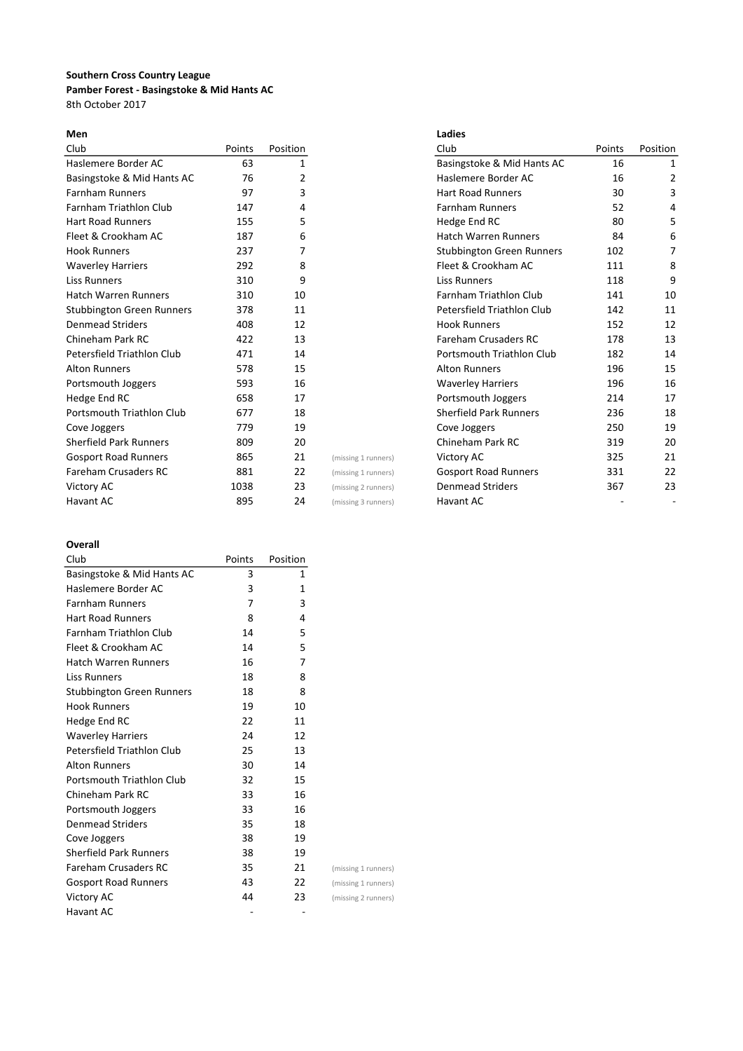# Southern Cross Country League Pamber Forest - Basingstoke & Mid Hants AC 8th October 2017

| Club                             | Points | Position |                     | Club                             | Points | Position |
|----------------------------------|--------|----------|---------------------|----------------------------------|--------|----------|
| Haslemere Border AC              | 63     | 1        |                     | Basingstoke & Mid Hants AC       | 16     | 1        |
| Basingstoke & Mid Hants AC       | 76     | 2        |                     | Haslemere Border AC              | 16     | 2        |
| <b>Farnham Runners</b>           | 97     | 3        |                     | <b>Hart Road Runners</b>         | 30     | 3        |
| <b>Farnham Triathlon Club</b>    | 147    | 4        |                     | <b>Farnham Runners</b>           | 52     | 4        |
| <b>Hart Road Runners</b>         | 155    | 5        |                     | Hedge End RC                     | 80     | 5        |
| Fleet & Crookham AC              | 187    | 6        |                     | <b>Hatch Warren Runners</b>      | 84     | 6        |
| <b>Hook Runners</b>              | 237    | 7        |                     | <b>Stubbington Green Runners</b> | 102    | 7        |
| <b>Waverley Harriers</b>         | 292    | 8        |                     | Fleet & Crookham AC              | 111    | 8        |
| <b>Liss Runners</b>              | 310    | 9        |                     | <b>Liss Runners</b>              | 118    | 9        |
| <b>Hatch Warren Runners</b>      | 310    | 10       |                     | <b>Farnham Triathlon Club</b>    | 141    | 10       |
| <b>Stubbington Green Runners</b> | 378    | 11       |                     | Petersfield Triathlon Club       | 142    | 11       |
| <b>Denmead Striders</b>          | 408    | 12       |                     | <b>Hook Runners</b>              | 152    | 12       |
| Chineham Park RC                 | 422    | 13       |                     | <b>Fareham Crusaders RC</b>      | 178    | 13       |
| Petersfield Triathlon Club       | 471    | 14       |                     | Portsmouth Triathlon Club        | 182    | 14       |
| <b>Alton Runners</b>             | 578    | 15       |                     | <b>Alton Runners</b>             | 196    | 15       |
| Portsmouth Joggers               | 593    | 16       |                     | <b>Waverley Harriers</b>         | 196    | 16       |
| Hedge End RC                     | 658    | 17       |                     | Portsmouth Joggers               | 214    | 17       |
| Portsmouth Triathlon Club        | 677    | 18       |                     | <b>Sherfield Park Runners</b>    | 236    | 18       |
| Cove Joggers                     | 779    | 19       |                     | Cove Joggers                     | 250    | 19       |
| <b>Sherfield Park Runners</b>    | 809    | 20       |                     | Chineham Park RC                 | 319    | 20       |
| <b>Gosport Road Runners</b>      | 865    | 21       | (missing 1 runners) | Victory AC                       | 325    | 21       |
| <b>Fareham Crusaders RC</b>      | 881    | 22       | (missing 1 runners) | <b>Gosport Road Runners</b>      | 331    | 22       |
| Victory AC                       | 1038   | 23       | (missing 2 runners) | <b>Denmead Striders</b>          | 367    | 23       |
| Havant AC                        | 895    | 24       | (missing 3 runners) | Havant AC                        |        |          |

| Men                           |        |              |                     | Ladies                           |        |          |
|-------------------------------|--------|--------------|---------------------|----------------------------------|--------|----------|
| Club                          | Points | Position     |                     | Club                             | Points | Position |
| Haslemere Border AC           | 63     | $\mathbf{1}$ |                     | Basingstoke & Mid Hants AC       | 16     | 1        |
| Basingstoke & Mid Hants AC    | 76     | 2            |                     | Haslemere Border AC              | 16     | 2        |
| <b>Farnham Runners</b>        | 97     | 3            |                     | <b>Hart Road Runners</b>         | 30     | 3        |
| Farnham Triathlon Club        | 147    | 4            |                     | <b>Farnham Runners</b>           | 52     | 4        |
| <b>Hart Road Runners</b>      | 155    | 5            |                     | Hedge End RC                     | 80     | 5        |
| Fleet & Crookham AC           | 187    | 6            |                     | <b>Hatch Warren Runners</b>      | 84     | 6        |
| <b>Hook Runners</b>           | 237    |              |                     | <b>Stubbington Green Runners</b> | 102    | 7        |
| <b>Waverley Harriers</b>      | 292    | 8            |                     | Fleet & Crookham AC              | 111    | 8        |
| Liss Runners                  | 310    | 9            |                     | <b>Liss Runners</b>              | 118    | 9        |
| Hatch Warren Runners          | 310    | 10           |                     | <b>Farnham Triathlon Club</b>    | 141    | 10       |
| Stubbington Green Runners     | 378    | 11           |                     | Petersfield Triathlon Club       | 142    | 11       |
| <b>Denmead Striders</b>       | 408    | 12           |                     | <b>Hook Runners</b>              | 152    | 12       |
| Chineham Park RC              | 422    | 13           |                     | <b>Fareham Crusaders RC</b>      | 178    | 13       |
| Petersfield Triathlon Club    | 471    | 14           |                     | Portsmouth Triathlon Club        | 182    | 14       |
| Alton Runners                 | 578    | 15           |                     | <b>Alton Runners</b>             | 196    | 15       |
| Portsmouth Joggers            | 593    | 16           |                     | <b>Waverley Harriers</b>         | 196    | 16       |
| Hedge End RC                  | 658    | 17           |                     | Portsmouth Joggers               | 214    | 17       |
| Portsmouth Triathlon Club     | 677    | 18           |                     | <b>Sherfield Park Runners</b>    | 236    | 18       |
| Cove Joggers                  | 779    | 19           |                     | Cove Joggers                     | 250    | 19       |
| <b>Sherfield Park Runners</b> | 809    | 20           |                     | Chineham Park RC                 | 319    | 20       |
| Gosport Road Runners          | 865    | 21           | (missing 1 runners) | Victory AC                       | 325    | 21       |
| <b>Fareham Crusaders RC</b>   | 881    | 22           | (missing 1 runners) | <b>Gosport Road Runners</b>      | 331    | 22       |
| Victory AC                    | 1038   | 23           | (missing 2 runners) | <b>Denmead Striders</b>          | 367    | 23       |
| Havant AC                     | 895    | 24           | (missing 3 runners) | Havant AC                        |        |          |

## Overall

| Club                             | Points | Position |
|----------------------------------|--------|----------|
| Basingstoke & Mid Hants AC       | 3      | 1        |
| Haslemere Border AC              | 3      | 1        |
| <b>Farnham Runners</b>           | 7      | 3        |
| <b>Hart Road Runners</b>         | 8      | 4        |
| <b>Farnham Triathlon Club</b>    | 14     | 5        |
| Fleet & Crookham AC              | 14     | 5        |
| <b>Hatch Warren Runners</b>      | 16     | 7        |
| <b>Liss Runners</b>              | 18     | 8        |
| <b>Stubbington Green Runners</b> | 18     | 8        |
| <b>Hook Runners</b>              | 19     | 10       |
| Hedge End RC                     | 22     | 11       |
| <b>Waverley Harriers</b>         | 24     | 12       |
| Petersfield Triathlon Club       | 25     | 13       |
| Alton Runners                    | 30     | 14       |
| Portsmouth Triathlon Club        | 32     | 15       |
| Chineham Park RC                 | 33     | 16       |
| Portsmouth Joggers               | 33     | 16       |
| <b>Denmead Striders</b>          | 35     | 18       |
| Cove Joggers                     | 38     | 19       |
| <b>Sherfield Park Runners</b>    | 38     | 19       |
| <b>Fareham Crusaders RC</b>      | 35     | 21       |
| <b>Gosport Road Runners</b>      | 43     | 22       |
| <b>Victory AC</b>                | 44     | 23       |
| Havant AC                        |        |          |

(missing 1 runners) (missing 1 runners) (missing 2 runners)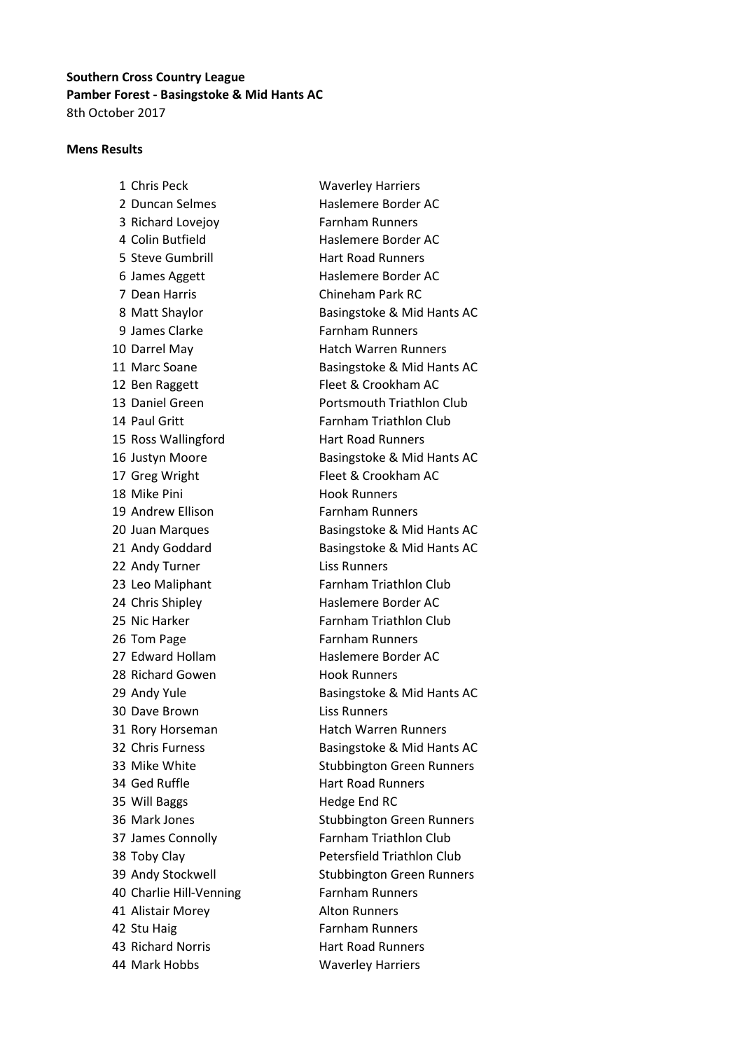# Southern Cross Country League Pamber Forest - Basingstoke & Mid Hants AC 8th October 2017

#### Mens Results

1 Chris Peck Waverley Harriers 2 Duncan Selmes Haslemere Border AC 3 Richard Lovejoy Farnham Runners 4 Colin Butfield Haslemere Border AC 5 Steve Gumbrill **Hart Road Runners** 6 James Aggett Haslemere Border AC 7 Dean Harris Chineham Park RC 9 James Clarke Farnham Runners 10 Darrel May **Hatch Warren Runners** 12 Ben Raggett Fleet & Crookham AC 14 Paul Gritt **Farnham Triathlon Club** 15 Ross Wallingford Hart Road Runners 17 Greg Wright Fleet & Crookham AC 18 Mike Pini **Hook Runners** 19 Andrew Ellison Farnham Runners 22 Andy Turner Liss Runners 23 Leo Maliphant Farnham Triathlon Club 24 Chris Shipley **Haslemere Border AC** 25 Nic Harker Farnham Triathlon Club 26 Tom Page Farnham Runners 27 Edward Hollam Haslemere Border AC 28 Richard Gowen Hook Runners 30 Dave Brown Liss Runners 31 Rory Horseman Hatch Warren Runners 34 Ged Ruffle **Hart Road Runners** 35 Will Baggs Hedge End RC 37 James Connolly Farnham Triathlon Club 38 Toby Clay **Petersfield Triathlon Club** 40 Charlie Hill-Venning Farnham Runners 41 Alistair Morey **Alton Runners** 42 Stu Haig Farnham Runners 43 Richard Norris Hart Road Runners 44 Mark Hobbs Waverley Harriers

8 Matt Shaylor **Basingstoke & Mid Hants AC** 11 Marc Soane Basingstoke & Mid Hants AC 13 Daniel Green **Portsmouth Triathlon Club** 16 Justyn Moore Basingstoke & Mid Hants AC 20 Juan Marques Basingstoke & Mid Hants AC 21 Andy Goddard Basingstoke & Mid Hants AC 29 Andy Yule **Basingstoke & Mid Hants AC** 32 Chris Furness Basingstoke & Mid Hants AC 33 Mike White Stubbington Green Runners 36 Mark Jones Stubbington Green Runners 39 Andy Stockwell Stubbington Green Runners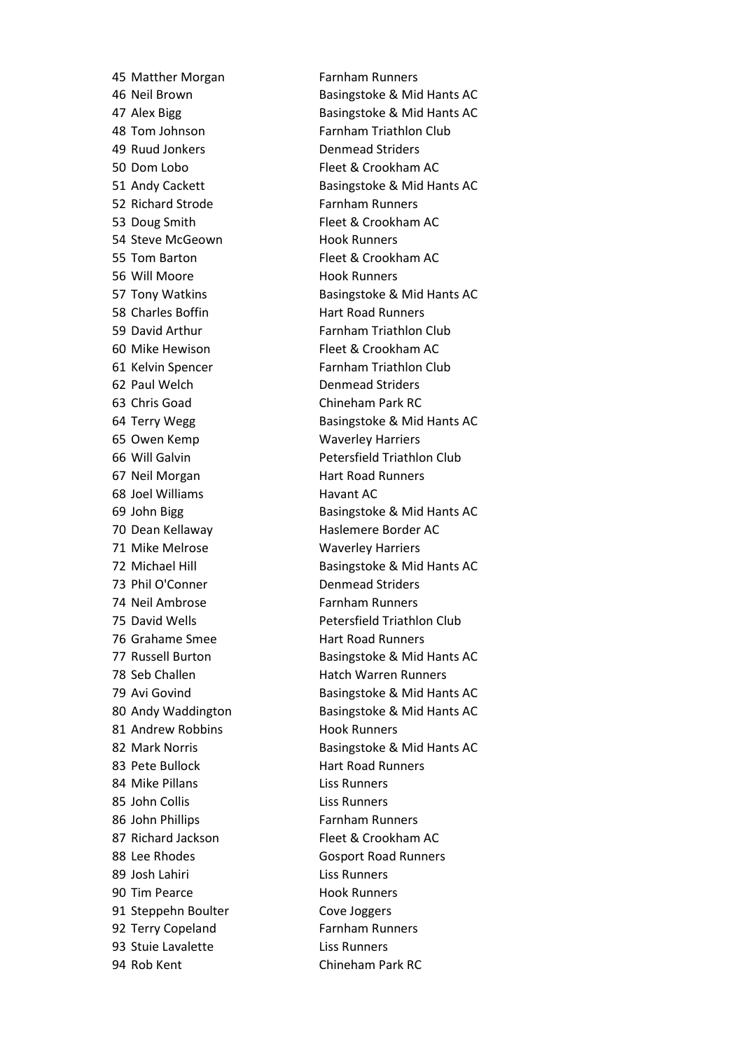49 Ruud Jonkers Denmead Striders 50 Dom Lobo Fleet & Crookham AC 52 Richard Strode Farnham Runners 53 Doug Smith Fleet & Crookham AC 54 Steve McGeown Hook Runners 55 Tom Barton **Fleet & Crookham AC** 56 Will Moore **Hook Runners** 58 Charles Boffin **Hart Road Runners** 60 Mike Hewison Fleet & Crookham AC 62 Paul Welch Denmead Striders 63 Chris Goad Chineham Park RC 65 Owen Kemp Waverley Harriers 67 Neil Morgan Hart Road Runners 68 Joel Williams **Havant AC** 70 Dean Kellaway Haslemere Border AC 71 Mike Melrose Waverley Harriers 73 Phil O'Conner Denmead Striders 74 Neil Ambrose Farnham Runners 76 Grahame Smee **Hart Road Runners** 81 Andrew Robbins Hook Runners 83 Pete Bullock Hart Road Runners 84 Mike Pillans **Liss Runners** 85 John Collis **Liss Runners** 86 John Phillips **Farnham Runners** 87 Richard Jackson Fleet & Crookham AC 89 Josh Lahiri Liss Runners 90 Tim Pearce Hook Runners 91 Steppehn Boulter Cove Joggers 92 Terry Copeland Farnham Runners 93 Stuie Lavalette Liss Runners 94 Rob Kent Chineham Park RC

45 Matther Morgan Farnham Runners 46 Neil Brown Basingstoke & Mid Hants AC 47 Alex Bigg Basingstoke & Mid Hants AC 48 Tom Johnson Farnham Triathlon Club 51 Andy Cackett Basingstoke & Mid Hants AC 57 Tony Watkins Basingstoke & Mid Hants AC 59 David Arthur **Farnham Triathlon Club** 61 Kelvin Spencer Farnham Triathlon Club 64 Terry Wegg Basingstoke & Mid Hants AC 66 Will Galvin Petersfield Triathlon Club 69 John Bigg Basingstoke & Mid Hants AC 72 Michael Hill Basingstoke & Mid Hants AC 75 David Wells Petersfield Triathlon Club 77 Russell Burton Basingstoke & Mid Hants AC 78 Seb Challen Hatch Warren Runners 79 Avi Govind Basingstoke & Mid Hants AC 80 Andy Waddington Basingstoke & Mid Hants AC 82 Mark Norris **Basingstoke & Mid Hants AC** 88 Lee Rhodes Gosport Road Runners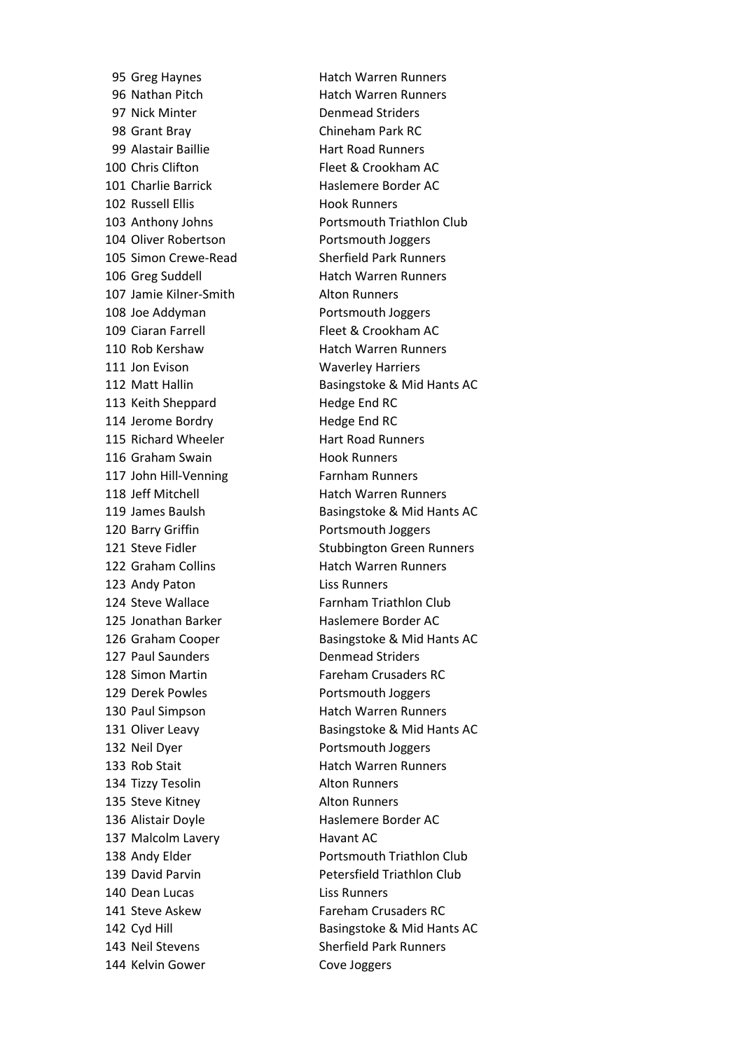97 Nick Minter **Denmead Striders** 98 Grant Bray Chineham Park RC 99 Alastair Baillie **Hart Road Runners** 100 Chris Clifton **Fleet & Crookham AC** 101 Charlie Barrick Haslemere Border AC 102 Russell Ellis Hook Runners 104 Oliver Robertson Portsmouth Joggers 105 Simon Crewe-Read Sherfield Park Runners 106 Greg Suddell Hatch Warren Runners 107 Jamie Kilner-Smith Alton Runners 108 Joe Addyman **Portsmouth Joggers** 109 Ciaran Farrell Fleet & Crookham AC 110 Rob Kershaw Hatch Warren Runners 111 Jon Evison Waverley Harriers 113 Keith Sheppard Hedge End RC 114 Jerome Bordry **Hedge End RC** 115 Richard Wheeler **Hart Road Runners** 116 Graham Swain Hook Runners 117 John Hill-Venning Farnham Runners 118 Jeff Mitchell **Hatch Warren Runners** 120 Barry Griffin **Portsmouth Joggers** 122 Graham Collins **Hatch Warren Runners** 123 Andy Paton Liss Runners 125 Jonathan Barker Haslemere Border AC 127 Paul Saunders **Denmead Striders** 128 Simon Martin Fareham Crusaders RC 129 Derek Powles **Portsmouth Joggers** 130 Paul Simpson **Hatch Warren Runners** 132 Neil Dyer **Portsmouth Joggers** 133 Rob Stait **Hatch Warren Runners** 134 Tizzy Tesolin Alton Runners 135 Steve Kitney **Alton Runners** 136 Alistair Doyle **Haslemere Border AC** 137 Malcolm Lavery **Havant AC** 140 Dean Lucas Liss Runners 141 Steve Askew Fareham Crusaders RC 143 Neil Stevens Sherfield Park Runners 144 Kelvin Gower Cove Joggers

95 Greg Haynes Hatch Warren Runners 96 Nathan Pitch **Hatch Warren Runners** 103 Anthony Johns Portsmouth Triathlon Club 112 Matt Hallin Basingstoke & Mid Hants AC 119 James Baulsh Basingstoke & Mid Hants AC 121 Steve Fidler Stubbington Green Runners 124 Steve Wallace Farnham Triathlon Club 126 Graham Cooper Basingstoke & Mid Hants AC 131 Oliver Leavy Basingstoke & Mid Hants AC 138 Andy Elder **Portsmouth Triathlon Club** 139 David Parvin **Petersfield Triathlon Club** 142 Cyd Hill Basingstoke & Mid Hants AC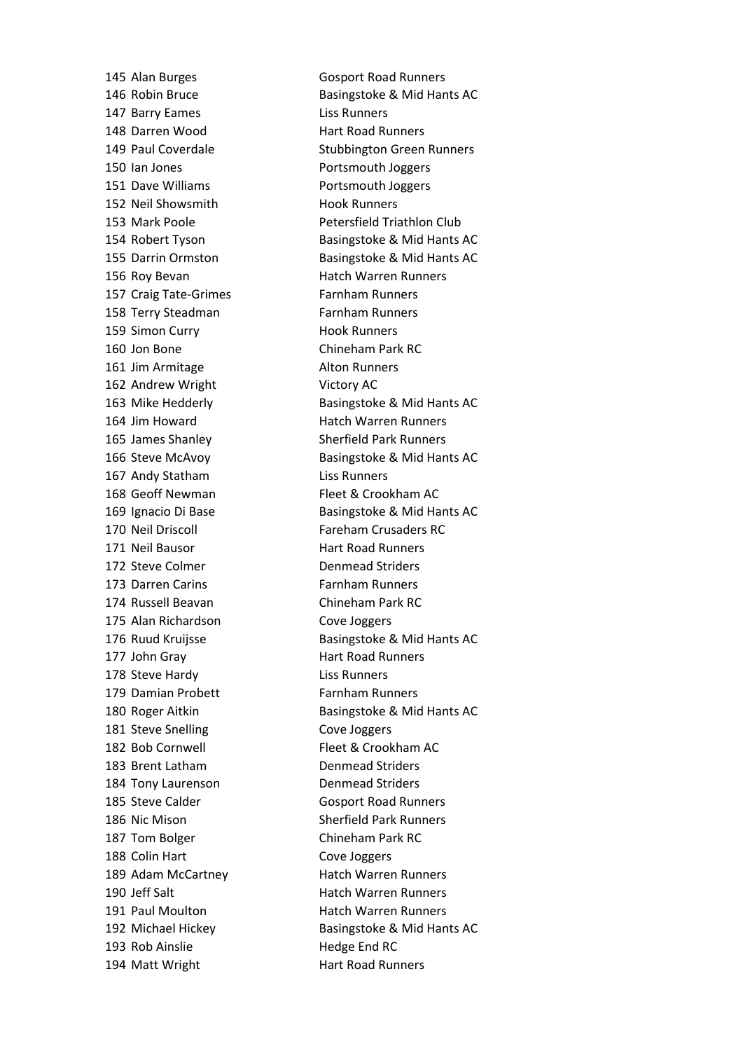147 Barry Eames Liss Runners 148 Darren Wood Hart Road Runners 150 Ian Jones **Portsmouth Joggers** 151 Dave Williams **Portsmouth Joggers** 152 Neil Showsmith Hook Runners 156 Roy Bevan **Hatch Warren Runners** 157 Craig Tate-Grimes Farnham Runners 158 Terry Steadman Farnham Runners 159 Simon Curry **Hook Runners** 160 Jon Bone Chineham Park RC 161 Jim Armitage Alton Runners 162 Andrew Wright Victory AC 164 Jim Howard **Hatch Warren Runners** 165 James Shanley Sherfield Park Runners 167 Andy Statham Liss Runners 168 Geoff Newman Fleet & Crookham AC 170 Neil Driscoll Fareham Crusaders RC 171 Neil Bausor **Hart Road Runners** 172 Steve Colmer **Denmead Striders** 173 Darren Carins **Farnham Runners** 174 Russell Beavan Chineham Park RC 175 Alan Richardson Cove Joggers 177 John Gray **Hart Road Runners** 178 Steve Hardy **Liss Runners** 179 Damian Probett Farnham Runners 181 Steve Snelling Cove Joggers 182 Bob Cornwell Fleet & Crookham AC 183 Brent Latham Denmead Striders 184 Tony Laurenson Denmead Striders 185 Steve Calder Gosport Road Runners 186 Nic Mison Sherfield Park Runners 187 Tom Bolger Chineham Park RC 188 Colin Hart Cove Joggers 189 Adam McCartney **Hatch Warren Runners** 190 Jeff Salt **Hatch Warren Runners** 191 Paul Moulton **Hatch Warren Runners** 193 Rob Ainslie Hedge End RC 194 Matt Wright **Hart Road Runners** 

145 Alan Burges Gosport Road Runners 146 Robin Bruce Basingstoke & Mid Hants AC 149 Paul Coverdale Stubbington Green Runners 153 Mark Poole Petersfield Triathlon Club 154 Robert Tyson Basingstoke & Mid Hants AC 155 Darrin Ormston Basingstoke & Mid Hants AC 163 Mike Hedderly Basingstoke & Mid Hants AC 166 Steve McAvoy Basingstoke & Mid Hants AC 169 Ignacio Di Base Basingstoke & Mid Hants AC 176 Ruud Kruijsse Basingstoke & Mid Hants AC 180 Roger Aitkin Basingstoke & Mid Hants AC 192 Michael Hickey Basingstoke & Mid Hants AC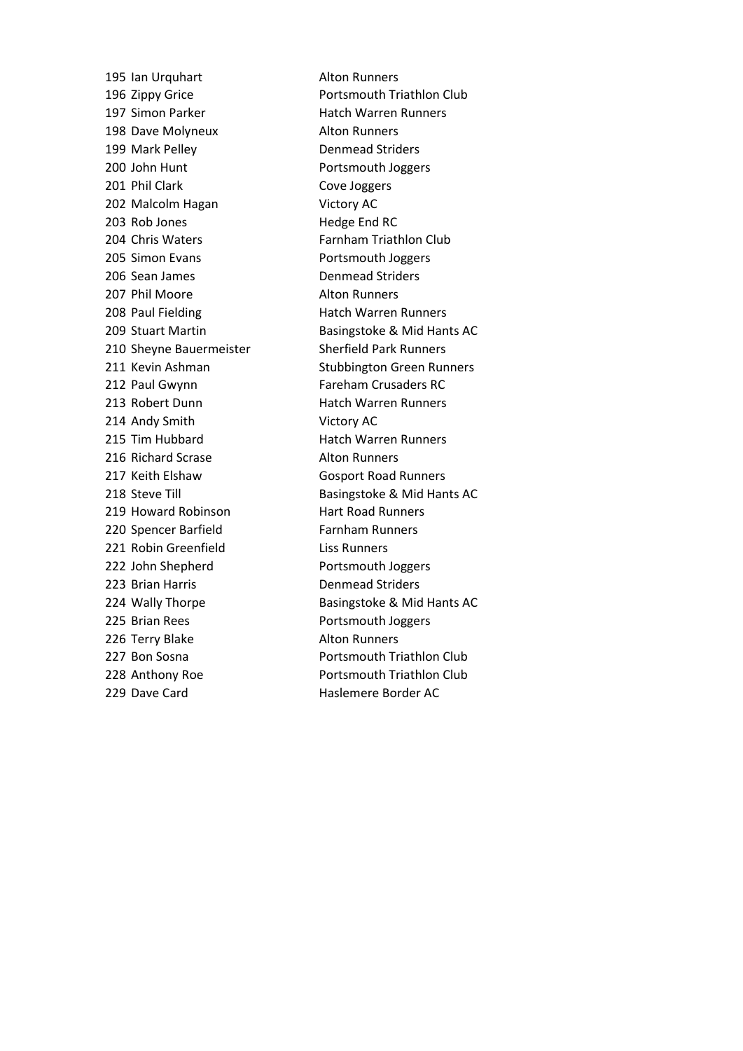195 Ian Urquhart Alton Runners 197 Simon Parker Hatch Warren Runners 198 Dave Molyneux **Alton Runners** 199 Mark Pelley Denmead Striders 200 John Hunt Portsmouth Joggers 201 Phil Clark Cove Joggers 202 Malcolm Hagan Victory AC 203 Rob Jones Hedge End RC 204 Chris Waters Farnham Triathlon Club 205 Simon Evans **Portsmouth Joggers** 206 Sean James Denmead Striders 207 Phil Moore Alton Runners 208 Paul Fielding Hatch Warren Runners 210 Sheyne Bauermeister Sherfield Park Runners 212 Paul Gwynn Fareham Crusaders RC 213 Robert Dunn Hatch Warren Runners 214 Andy Smith Victory AC 215 Tim Hubbard **Hatch Warren Runners** 216 Richard Scrase Alton Runners 217 Keith Elshaw Gosport Road Runners 219 Howard Robinson Hart Road Runners 220 Spencer Barfield Farnham Runners 221 Robin Greenfield Liss Runners 222 John Shepherd Portsmouth Joggers 223 Brian Harris Denmead Striders 225 Brian Rees **Portsmouth Joggers** 226 Terry Blake Alton Runners 229 Dave Card **Haslemere Border AC** 

196 Zippy Grice **Portsmouth Triathlon Club** 209 Stuart Martin Basingstoke & Mid Hants AC 211 Kevin Ashman Stubbington Green Runners 218 Steve Till Basingstoke & Mid Hants AC 224 Wally Thorpe Basingstoke & Mid Hants AC 227 Bon Sosna **Portsmouth Triathlon Club** 228 Anthony Roe **Portsmouth Triathlon Club**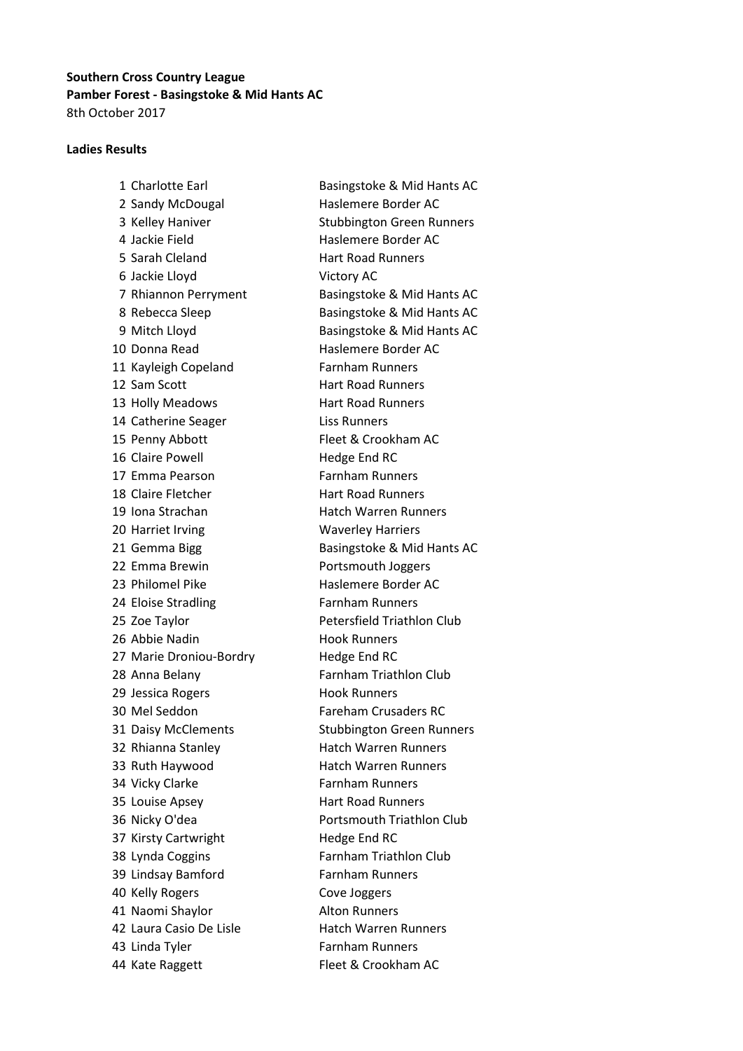# Southern Cross Country League Pamber Forest - Basingstoke & Mid Hants AC 8th October 2017

## Ladies Results

2 Sandy McDougal Haslemere Border AC 4 Jackie Field Haslemere Border AC 5 Sarah Cleland Hart Road Runners 6 Jackie Lloyd Victory AC 10 Donna Read Haslemere Border AC 11 Kayleigh Copeland Farnham Runners 12 Sam Scott Hart Road Runners 13 Holly Meadows **Hart Road Runners** 14 Catherine Seager Liss Runners 15 Penny Abbott Fleet & Crookham AC 16 Claire Powell Hedge End RC 17 Emma Pearson Farnham Runners 18 Claire Fletcher **Hart Road Runners** 19 Iona Strachan **Hatch Warren Runners** 20 Harriet Irving Waverley Harriers 22 Emma Brewin **Portsmouth Joggers** 23 Philomel Pike Haslemere Border AC 24 Eloise Stradling Farnham Runners 25 Zoe Taylor **Petersfield Triathlon Club** 26 Abbie Nadin Hook Runners 27 Marie Droniou-Bordry Hedge End RC 28 Anna Belany **Farnham Triathlon Club** 29 Jessica Rogers **Hook Runners** 30 Mel Seddon Fareham Crusaders RC 32 Rhianna Stanley Hatch Warren Runners 33 Ruth Haywood Hatch Warren Runners 34 Vicky Clarke Farnham Runners 35 Louise Apsey Hart Road Runners 36 Nicky O'dea Portsmouth Triathlon Club 37 Kirsty Cartwright Hedge End RC 38 Lynda Coggins Farnham Triathlon Club 39 Lindsay Bamford Farnham Runners 40 Kelly Rogers Cove Joggers 41 Naomi Shaylor **Alton Runners** 42 Laura Casio De Lisle **Hatch Warren Runners** 43 Linda Tyler Farnham Runners 44 Kate Raggett Fleet & Crookham AC

1 Charlotte Earl Basingstoke & Mid Hants AC 3 Kelley Haniver Stubbington Green Runners 7 Rhiannon Perryment Basingstoke & Mid Hants AC 8 Rebecca Sleep Basingstoke & Mid Hants AC 9 Mitch Lloyd Basingstoke & Mid Hants AC 21 Gemma Bigg Basingstoke & Mid Hants AC 31 Daisy McClements Stubbington Green Runners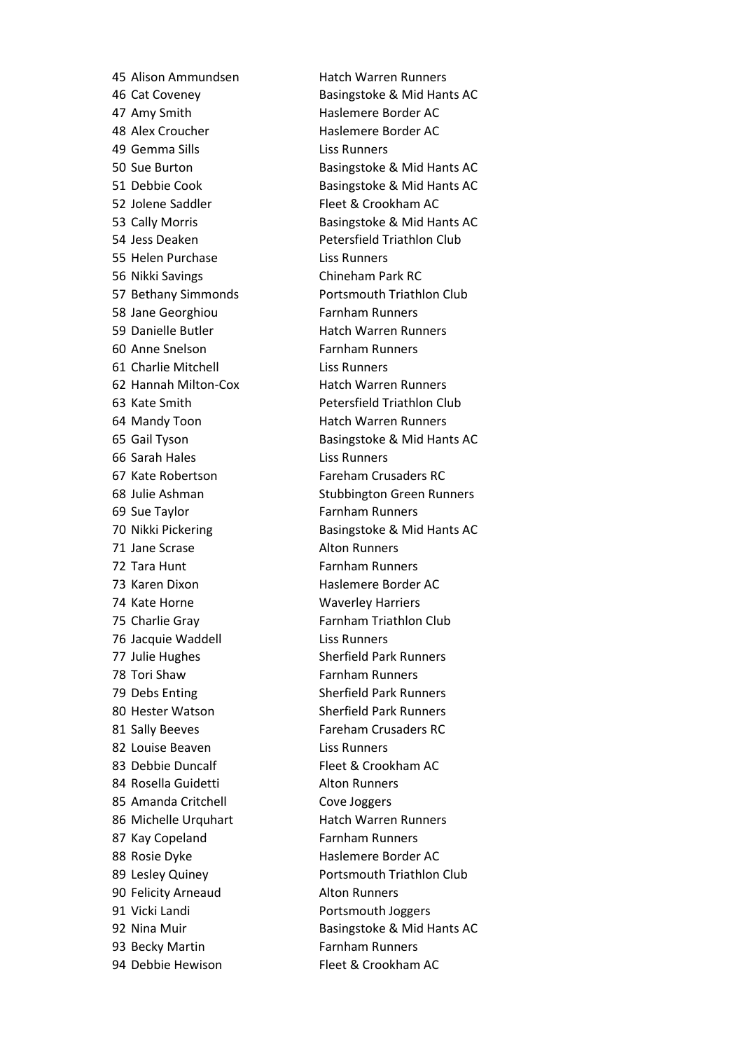47 Amy Smith Haslemere Border AC 48 Alex Croucher **Haslemere Border AC** 49 Gemma Sills Liss Runners 52 Jolene Saddler Fleet & Crookham AC 55 Helen Purchase Liss Runners 56 Nikki Savings Chineham Park RC 58 Jane Georghiou Farnham Runners 59 Danielle Butler Hatch Warren Runners 60 Anne Snelson Farnham Runners 61 Charlie Mitchell Liss Runners 62 Hannah Milton-Cox Hatch Warren Runners 64 Mandy Toon **Hatch Warren Runners** 66 Sarah Hales Liss Runners 67 Kate Robertson Fareham Crusaders RC 69 Sue Taylor Farnham Runners 71 Jane Scrase Alton Runners 72 Tara Hunt Farnham Runners 73 Karen Dixon Haslemere Border AC 74 Kate Horne Waverley Harriers 75 Charlie Gray **Farnham Triathlon Club** 76 Jacquie Waddell **Liss Runners** 77 Julie Hughes Sherfield Park Runners 78 Tori Shaw **Farnham Runners** 79 Debs Enting Sherfield Park Runners 80 Hester Watson Sherfield Park Runners 81 Sally Beeves Fareham Crusaders RC 82 Louise Beaven **Liss Runners** 83 Debbie Duncalf Fleet & Crookham AC 84 Rosella Guidetti **Alton Runners** 85 Amanda Critchell Cove Joggers 86 Michelle Urquhart Hatch Warren Runners 87 Kay Copeland Farnham Runners 88 Rosie Dyke Haslemere Border AC 90 Felicity Arneaud Alton Runners 91 Vicki Landi Portsmouth Joggers 93 Becky Martin Farnham Runners 94 Debbie Hewison Fleet & Crookham AC

45 Alison Ammundsen Hatch Warren Runners 46 Cat Coveney Basingstoke & Mid Hants AC 50 Sue Burton Basingstoke & Mid Hants AC 51 Debbie Cook Basingstoke & Mid Hants AC 53 Cally Morris **Basingstoke & Mid Hants AC** 54 Jess Deaken Petersfield Triathlon Club 57 Bethany Simmonds Portsmouth Triathlon Club 63 Kate Smith Petersfield Triathlon Club 65 Gail Tyson Basingstoke & Mid Hants AC 68 Julie Ashman Stubbington Green Runners 70 Nikki Pickering Basingstoke & Mid Hants AC 89 Lesley Quiney **Portsmouth Triathlon Club** 92 Nina Muir Basingstoke & Mid Hants AC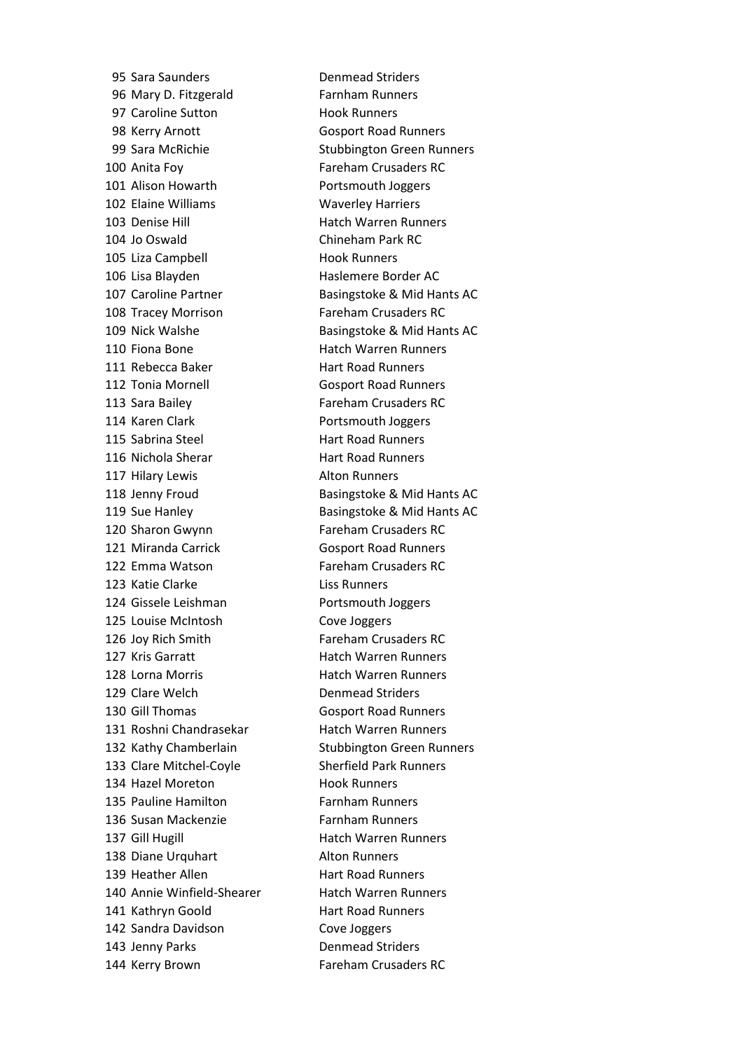95 Sara Saunders **Denmead Striders** 96 Mary D. Fitzgerald Farnham Runners 97 Caroline Sutton Hook Runners 98 Kerry Arnott Gosport Road Runners 100 Anita Foy Fareham Crusaders RC 101 Alison Howarth **Portsmouth Joggers** 102 Elaine Williams Waverley Harriers 103 Denise Hill **Hatch Warren Runners** 104 Jo Oswald Chineham Park RC 105 Liza Campbell **Hook Runners** 106 Lisa Blayden Haslemere Border AC 108 Tracey Morrison Fareham Crusaders RC 110 Fiona Bone **Hatch Warren Runners** 111 Rebecca Baker Hart Road Runners 112 Tonia Mornell Gosport Road Runners 113 Sara Bailey Fareham Crusaders RC 114 Karen Clark **Portsmouth Joggers** 115 Sabrina Steel **Hart Road Runners** 116 Nichola Sherar Hart Road Runners 117 Hilary Lewis **Alton Runners** 120 Sharon Gwynn Fareham Crusaders RC 121 Miranda Carrick Gosport Road Runners 122 Emma Watson Fareham Crusaders RC 123 Katie Clarke Liss Runners 124 Gissele Leishman Portsmouth Joggers 125 Louise McIntosh Cove Joggers 126 Joy Rich Smith Fareham Crusaders RC 127 Kris Garratt **Hatch Warren Runners** 128 Lorna Morris **Hatch Warren Runners** 129 Clare Welch Denmead Striders 130 Gill Thomas Gosport Road Runners 131 Roshni Chandrasekar Hatch Warren Runners 133 Clare Mitchel-Coyle Sherfield Park Runners 134 Hazel Moreton **Hook Runners** 135 Pauline Hamilton Farnham Runners 136 Susan Mackenzie Farnham Runners 137 Gill Hugill **Hatch Warren Runners** 138 Diane Urquhart Alton Runners 139 Heather Allen Hart Road Runners 140 Annie Winfield-Shearer Hatch Warren Runners 141 Kathryn Goold Hart Road Runners 142 Sandra Davidson Cove Joggers 143 Jenny Parks **Denmead Striders** 144 Kerry Brown Fareham Crusaders RC

99 Sara McRichie Stubbington Green Runners 107 Caroline Partner **Basingstoke & Mid Hants AC** 109 Nick Walshe Basingstoke & Mid Hants AC 118 Jenny Froud Basingstoke & Mid Hants AC 119 Sue Hanley **Basingstoke & Mid Hants AC** 132 Kathy Chamberlain Stubbington Green Runners